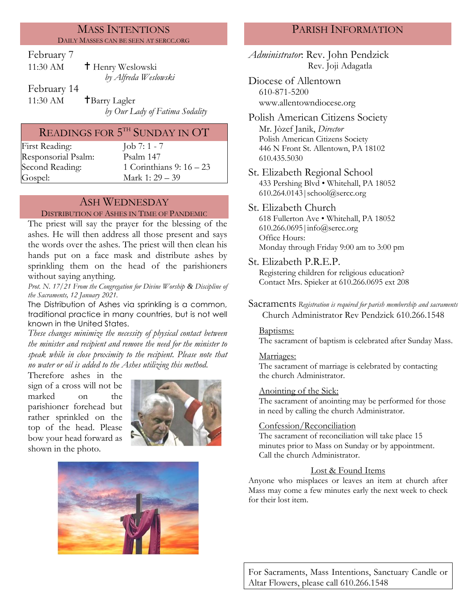#### MASS INTENTIONS DAILY MASSES CAN BE SEEN AT SERCC.ORG

February 7

| 11:30 AM    | <sup>†</sup> Henry Weslowski |
|-------------|------------------------------|
|             | by Alfreda Weslowski         |
| February 14 |                              |

11:30 AM  $\uparrow$  Barry Lagler

*by Our Lady of Fatima Sodality*

## READINGS FOR  $5^{\text{\tiny{TH}}}$  SUNDAY IN  $\text{OT}$

First Reading:  $\boxed{\text{ob } 7: 1 - 7}$ Responsorial [Psalm](http://www.usccb.org/bible/readings/bible/psalms/25:4): Psalm 147 Gospel: Mark 1: 29 – 39

Second Reading: 1 Corinthians 9: 16 – 23

## ASH WEDNESDAY

#### DISTRIBUTION OF ASHES IN TIME OF PANDEMIC

The priest will say the prayer for the blessing of the ashes. He will then address all those present and says the words over the ashes. The priest will then clean his hands put on a face mask and distribute ashes by sprinkling them on the head of the parishioners without saying anything*.*

*Prot. N. 17/21 From the Congregation for Divine Worship & Discipline of the Sacraments, 12 January 2021.*

The Distribution of Ashes via sprinkling is a common, traditional practice in many countries, but is not well known in the United States.

*These changes minimize the necessity of physical contact between the minister and recipient and remove the need for the minister to speak while in close proximity to the recipient. Please note that no water or oil is added to the Ashes utilizing this method.*

Therefore ashes in the sign of a cross will not be marked on the parishioner forehead but rather sprinkled on the top of the head. Please bow your head forward as shown in the photo.





## PARISH INFORMATION

*Administrator*: Rev. John Pendzick Rev. Joji Adagatla

Diocese of Allentown 610-871-5200 www.allentowndiocese.org

Polish American Citizens Society Mr. Jòzef Janik, *Director* Polish American Citizens Society 446 N Front St. Allentown, PA 18102 610.435.5030

St. Elizabeth Regional School 433 Pershing Blvd • Whitehall, PA 18052 610.264.0143|school@sercc.org

#### St. Elizabeth Church

618 Fullerton Ave • Whitehall, PA 18052 610.266.0695|info@sercc.org Office Hours: Monday through Friday 9:00 am to 3:00 pm

St. Elizabeth P.R.E.P.

Registering children for religious education? Contact Mrs. Spieker at 610.266.0695 ext 208

Sacraments *Registration is required for parish membership and sacraments* Church Administrator Rev Pendzick 610.266.1548

#### Baptisms:

The sacrament of baptism is celebrated after Sunday Mass.

#### Marriages:

The sacrament of marriage is celebrated by contacting the church Administrator.

#### Anointing of the Sick:

The sacrament of anointing may be performed for those in need by calling the church Administrator.

#### Confession/Reconciliation

The sacrament of reconciliation will take place 15 minutes prior to Mass on Sunday or by appointment. Call the church Administrator.

#### Lost & Found Items

Anyone who misplaces or leaves an item at church after Mass may come a few minutes early the next week to check for their lost item.

For Sacraments, Mass Intentions, Sanctuary Candle or Altar Flowers, please call 610.266.1548